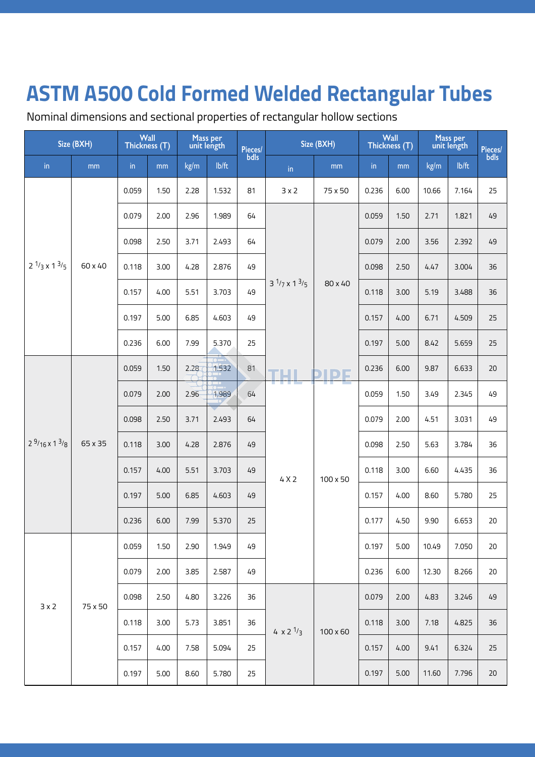Nominal dimensions and sectional properties of rectangular hollow sections

| Size (BXH)    |                                   | Wall<br>Thickness (T) |       | Mass per<br>unit length |       | Pieces/                           | Size (BXH)               |                            | Wall<br>Thickness (T) |       | Mass per<br>unit length |       | Pieces/<br>bdls |    |
|---------------|-----------------------------------|-----------------------|-------|-------------------------|-------|-----------------------------------|--------------------------|----------------------------|-----------------------|-------|-------------------------|-------|-----------------|----|
| $\mathsf{in}$ | mm                                | $\mathsf{in}$         | mm    | kg/m                    | lb/ft | bdls                              | in                       | mm                         | $\mathsf{in}$         | mm    | kg/m                    | lb/ft |                 |    |
|               |                                   |                       | 0.059 | 1.50                    | 2.28  | 1.532                             | 81                       | 3x2                        | 75 x 50               | 0.236 | 6.00                    | 10.66 | 7.164           | 25 |
|               |                                   |                       | 0.079 | 2.00                    | 2.96  | 1.989                             | 64                       |                            |                       | 0.059 | 1.50                    | 2.71  | 1.821           | 49 |
|               | $2^{1/3} \times 1^{3/5}$          |                       | 0.098 | 2.50                    | 3.71  | 2.493                             | 64                       |                            |                       | 0.079 | 2.00                    | 3.56  | 2.392           | 49 |
|               |                                   | 60 x 40               | 0.118 | 3.00                    | 4.28  | 2.876                             | 49                       |                            |                       | 0.098 | 2.50                    | 4.47  | 3.004           | 36 |
|               |                                   | 0.157                 | 4.00  | 5.51                    | 3.703 | 49                                | $3^{1/7} \times 1^{3/5}$ | 80 x 40                    | 0.118                 | 3.00  | 5.19                    | 3.488 | 36              |    |
|               |                                   |                       | 0.197 | 5.00                    | 6.85  | 4.603                             | 49                       |                            |                       | 0.157 | 4.00                    | 6.71  | 4.509           | 25 |
|               |                                   |                       | 0.236 | 6.00                    | 7.99  | 5.370                             | 25                       |                            |                       | 0.197 | 5.00                    | 8.42  | 5.659           | 25 |
|               |                                   |                       | 0.059 | 1.50                    | 2.28  | $\overline{\phantom{a}}$<br>1.532 | 81                       | TH I                       | <b>PIPE</b>           | 0.236 | 6.00                    | 9.87  | 6.633           | 20 |
|               | $2\frac{9}{16}$ x 1 $\frac{3}{8}$ |                       | 0.079 | 2.00                    | 2.96  | 1.989                             | 64                       | and the state of           | TI TIHA               | 0.059 | 1.50                    | 3.49  | 2.345           | 49 |
|               |                                   |                       | 0.098 | 2.50                    | 3.71  | 2.493                             | 64                       |                            |                       | 0.079 | 2.00                    | 4.51  | 3.031           | 49 |
|               |                                   | 65 x 35               | 0.118 | 3.00                    | 4.28  | 2.876                             | 49                       |                            |                       | 0.098 | 2.50                    | 5.63  | 3.784           | 36 |
|               |                                   |                       | 0.157 | 4.00                    | 5.51  | 3.703                             | 49                       | 4X2                        | $100 \times 50$       | 0.118 | 3.00                    | 6.60  | 4.435           | 36 |
|               |                                   |                       | 0.197 | 5.00                    | 6.85  | 4.603                             | 49                       |                            |                       | 0.157 | 4.00                    | 8.60  | 5.780           | 25 |
|               |                                   |                       | 0.236 | 6.00                    | 7.99  | 5.370                             | 25                       |                            |                       | 0.177 | 4.50                    | 9.90  | 6.653           | 20 |
|               |                                   |                       | 0.059 | 1.50                    | 2.90  | 1.949                             | 49                       |                            |                       | 0.197 | 5.00                    | 10.49 | 7.050           | 20 |
|               |                                   |                       | 0.079 | 2.00                    | 3.85  | 2.587                             | 49                       |                            |                       | 0.236 | 6.00                    | 12.30 | 8.266           | 20 |
| 3x2           |                                   | 75 x 50               | 0.098 | 2.50                    | 4.80  | 3.226                             | 36                       |                            |                       | 0.079 | 2.00                    | 4.83  | 3.246           | 49 |
|               |                                   |                       | 0.118 | 3.00                    | 5.73  | 3.851                             | 36                       | 4 $\times$ 2 $\frac{1}{3}$ | $100 \times 60$       | 0.118 | 3.00                    | 7.18  | 4.825           | 36 |
|               |                                   |                       | 0.157 | 4.00                    | 7.58  | 5.094                             | 25                       |                            |                       | 0.157 | 4.00                    | 9.41  | 6.324           | 25 |
|               |                                   |                       | 0.197 | 5.00                    | 8.60  | 5.780                             | 25                       |                            |                       | 0.197 | 5.00                    | 11.60 | 7.796           | 20 |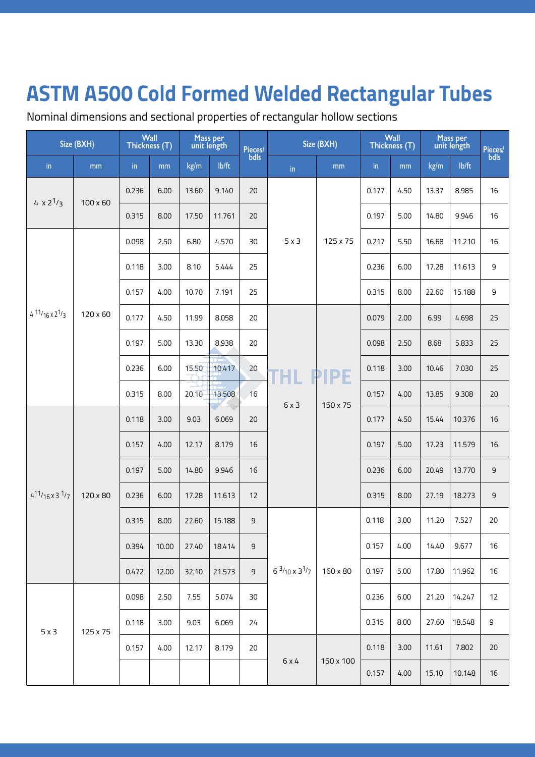Nominal dimensions and sectional properties of rectangular hollow sections

|                                  | Size (BXH) | Wall<br>Thickness (T) |       |       | Mass per<br>unit length | Pieces/<br>bdls | Size (BXH)                        |             | Wall<br>Thickness (T) |      | Mass per<br>unit length |          | Pieces/<br>bdls |      |       |       |
|----------------------------------|------------|-----------------------|-------|-------|-------------------------|-----------------|-----------------------------------|-------------|-----------------------|------|-------------------------|----------|-----------------|------|-------|-------|
| in                               | mm         | in                    | mm    | kg/m  | lb/ft                   |                 | in                                | mm          | in                    | mm   | kg/m                    | lb/ft    |                 |      |       |       |
| 4 $\times 2^{1/3}$               |            | 0.236                 | 6.00  | 13.60 | 9.140                   | 20              |                                   |             | 0.177                 | 4.50 | 13.37                   | 8.985    | 16              |      |       |       |
|                                  | 100 x 60   | 0.315                 | 8.00  | 17.50 | 11.761                  | 20              |                                   |             | 0.197                 | 5.00 | 14.80                   | 9.946    | 16              |      |       |       |
|                                  |            | 0.098                 | 2.50  | 6.80  | 4.570                   | 30              | $5 \times 3$                      | 125 x 75    | 0.217                 | 5.50 | 16.68                   | 11.210   | 16              |      |       |       |
|                                  |            | 0.118                 | 3.00  | 8.10  | 5.444                   | 25              |                                   |             | 0.236                 | 6.00 | 17.28                   | 11.613   | $\mathsf 9$     |      |       |       |
|                                  |            | 0.157                 | 4.00  | 10.70 | 7.191                   | 25              |                                   |             | 0.315                 | 8.00 | 22.60                   | 15.188   | 9               |      |       |       |
| $4 \frac{11}{16} \times 2^{1/3}$ | 120 x 60   | 0.177                 | 4.50  | 11.99 | 8.058                   | 20              |                                   |             | 0.079                 | 2.00 | 6.99                    | 4.698    | 25              |      |       |       |
|                                  |            | 0.197                 | 5.00  | 13.30 | 8.938                   | 20              |                                   | <b>PIPE</b> | 0.098                 | 2.50 | 8.68                    | 5.833    | 25              |      |       |       |
|                                  |            | 0.236                 | 6.00  | 15.50 | 10.417                  | 20              | <b>THL</b><br>6x3                 |             | 0.118                 | 3.00 | 10.46                   | 7.030    | 25              |      |       |       |
|                                  |            | 0.315                 | 8.00  | 20.10 | 13.508                  | 16              |                                   |             |                       |      |                         | 150 x 75 | 0.157           | 4.00 | 13.85 | 9.308 |
|                                  |            | 0.118                 | 3.00  | 9.03  | 6.069                   | 20              |                                   |             | 0.177                 | 4.50 | 15.44                   | 10.376   | 16              |      |       |       |
|                                  |            | 0.157                 | 4.00  | 12.17 | 8.179                   | 16              |                                   |             | 0.197                 | 5.00 | 17.23                   | 11.579   | 16              |      |       |       |
|                                  |            | 0.197                 | 5.00  | 14.80 | 9.946                   | 16              |                                   |             | 0.236                 | 6.00 | 20.49                   | 13.770   | $\mathsf 9$     |      |       |       |
| $4^{11}/16 \times 3^{1/7}$       | 120 x 80   | 0.236                 | 6.00  | 17.28 | 11.613                  | 12              |                                   |             | 0.315                 | 8.00 | 27.19                   | 18.273   | $9\,$           |      |       |       |
|                                  |            | 0.315                 | 8.00  | 22.60 | 15.188                  | $\mathsf 9$     |                                   |             | 0.118                 | 3.00 | 11.20                   | 7.527    | 20              |      |       |       |
|                                  |            | 0.394                 | 10.00 | 27.40 | 18.414                  | 9               |                                   |             | 0.157                 | 4.00 | 14.40                   | 9.677    | 16              |      |       |       |
|                                  |            | 0.472                 | 12.00 | 32.10 | 21.573                  | $\mathsf 9$     | $6 \frac{3}{10}$ x $3\frac{1}{7}$ | 160 x 80    | 0.197                 | 5.00 | 17.80                   | 11.962   | 16              |      |       |       |
|                                  |            | 0.098                 | 2.50  | 7.55  | 5.074                   | 30              |                                   |             | 0.236                 | 6.00 | 21.20                   | 14.247   | 12              |      |       |       |
| $5 \times 3$                     | 125 x 75   | 0.118                 | 3.00  | 9.03  | 6.069                   | 24              |                                   |             | 0.315                 | 8.00 | 27.60                   | 18.548   | $\mathsf 9$     |      |       |       |
|                                  |            | 0.157                 | 4.00  | 12.17 | 8.179                   | 20              |                                   |             | 0.118                 | 3.00 | 11.61                   | 7.802    | 20              |      |       |       |
|                                  |            |                       |       |       |                         |                 | 6x4                               | 150 x 100   | 0.157                 | 4.00 | 15.10                   | 10.148   | $16$            |      |       |       |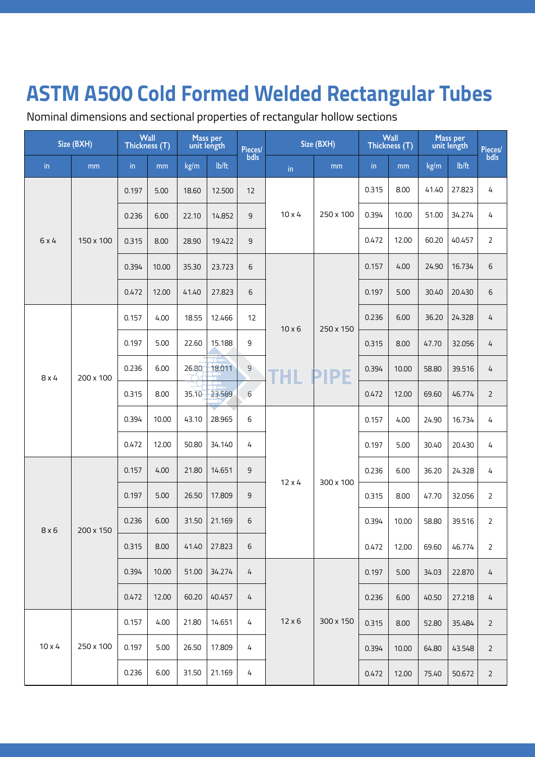Nominal dimensions and sectional properties of rectangular hollow sections

|               | Size (BXH) | Thickness (T) | Wall  |       | Mass per<br>unit length | Pieces/     | Size (BXH)    |             | Wall<br>Thickness (T) |           | Mass per<br>unit length |        | Pieces/<br>bdls |                |   |
|---------------|------------|---------------|-------|-------|-------------------------|-------------|---------------|-------------|-----------------------|-----------|-------------------------|--------|-----------------|----------------|---|
| in            | mm         | in            | mm    | kg/m  | lb/ft                   | bdls        | in            | mm          | in                    | mm        | kg/m                    | lb/ft  |                 |                |   |
|               |            | 0.197         | 5.00  | 18.60 | 12.500                  | 12          |               |             | 0.315                 | 8.00      | 41.40                   | 27.823 | 4               |                |   |
|               |            | 0.236         | 6.00  | 22.10 | 14.852                  | 9           | $10 \times 4$ | 250 x 100   | 0.394                 | 10.00     | 51.00                   | 34.274 | 4               |                |   |
| 6 x 4         | 150 x 100  | 0.315         | 8.00  | 28.90 | 19.422                  | 9           |               |             | 0.472                 | 12.00     | 60.20                   | 40.457 | $\overline{2}$  |                |   |
|               |            | 0.394         | 10.00 | 35.30 | 23.723                  | 6           |               |             | 0.157                 | 4.00      | 24.90                   | 16.734 | 6               |                |   |
|               |            | 0.472         | 12.00 | 41.40 | 27.823                  | 6           |               |             | 0.197                 | 5.00      | 30.40                   | 20.430 | 6               |                |   |
|               |            | 0.157         | 4.00  | 18.55 | 12.466                  | 12          | $10 \times 6$ | 250 x 150   | 0.236                 | 6.00      | 36.20                   | 24.328 | 4               |                |   |
|               |            | 0.197         | 5.00  | 22.60 | 15.188                  | 9           |               |             | 0.315                 | 8.00      | 47.70                   | 32.056 | 4               |                |   |
| $8 \times 4$  | 200 x 100  | 0.236         | 6.00  | 26.80 | 18.011                  | $\mathsf 9$ | THL           | <b>PIPE</b> | 0.394                 | 10.00     | 58.80                   | 39.516 | 4               |                |   |
|               |            | 0.315         | 8.00  | 35.10 | 23.589                  | 6           |               |             | 0.472                 | 12.00     | 69.60                   | 46.774 | $\overline{2}$  |                |   |
|               |            | 0.394         | 10.00 | 43.10 | 28.965                  | 6           |               |             | 0.157                 | 4.00      | 24.90                   | 16.734 | 4               |                |   |
|               |            | 0.472         | 12.00 | 50.80 | 34.140                  | 4           |               |             | 0.197                 | 5.00      | 30.40                   | 20.430 | 4               |                |   |
|               |            | 0.157         | 4.00  | 21.80 | 14.651                  | 9           |               |             | $12 \times 4$         | 300 x 100 | 0.236                   | 6.00   | 36.20           | 24.328         | 4 |
|               |            | 0.197         | 5.00  | 26.50 | 17.809                  | 9           |               |             | 0.315                 | 8.00      | 47.70                   | 32.056 | $\overline{2}$  |                |   |
| 8x6           | 200 x 150  | 0.236         | 6.00  | 31.50 | 21.169                  | 6           |               |             | 0.394                 | 10.00     | 58.80                   | 39.516 | $\overline{2}$  |                |   |
|               |            | 0.315         | 8.00  | 41.40 | 27.823                  | 6           |               |             | 0.472                 | 12.00     | 69.60                   | 46.774 | $\overline{2}$  |                |   |
|               |            | 0.394         | 10.00 | 51.00 | 34.274                  | 4           |               |             | 0.197                 | 5.00      | 34.03                   | 22.870 | 4               |                |   |
|               |            | 0.472         | 12.00 | 60.20 | 40.457                  | 4           |               |             | 0.236                 | 6.00      | 40.50                   | 27.218 | 4               |                |   |
|               |            | 0.157         | 4.00  | 21.80 | 14.651                  | 4           | $12 \times 6$ | 300 x 150   | 0.315                 | 8.00      | 52.80                   | 35.484 | $\overline{2}$  |                |   |
| $10 \times 4$ | 250 x 100  | 0.197         | 5.00  | 26.50 | 17.809                  | 4           |               |             |                       | 0.394     | 10.00                   | 64.80  | 43.548          | $\overline{2}$ |   |
|               |            | 0.236         | 6.00  | 31.50 | 21.169                  | 4           |               |             | 0.472                 | 12.00     | 75.40                   | 50.672 | $\overline{2}$  |                |   |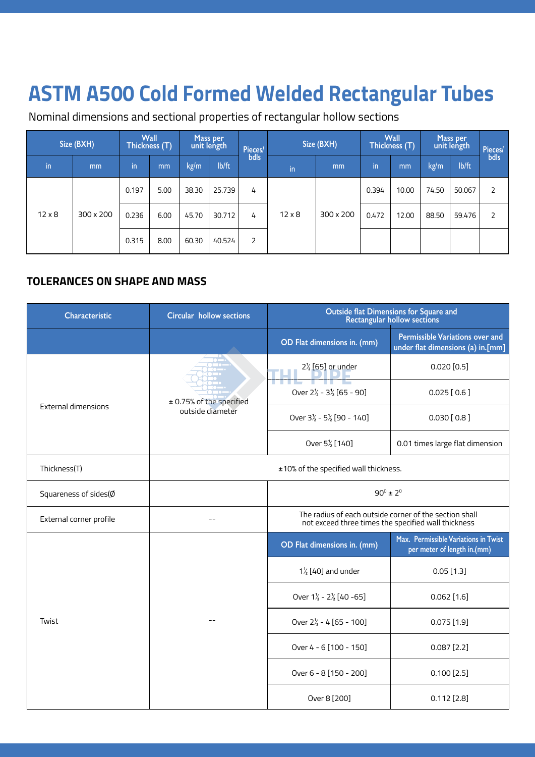Nominal dimensions and sectional properties of rectangular hollow sections

|                            | Size (BXH) | Thickness (T) | <b>Wall</b> |       | Mass per<br>unit length | Pieces/ |               | Size (BXH) | <b>Wall</b><br>Thickness (T) |       | Mass per<br>unit length |       | Pieces/<br>bdls |                |  |  |  |  |  |  |       |       |       |        |   |
|----------------------------|------------|---------------|-------------|-------|-------------------------|---------|---------------|------------|------------------------------|-------|-------------------------|-------|-----------------|----------------|--|--|--|--|--|--|-------|-------|-------|--------|---|
| $\mathsf{in}^{\mathsf{I}}$ | mm         | in            | mm          | kg/m  | lb/ft                   | bdls    | in            | mm         | in                           | mm    | kg/m                    | lb/ft |                 |                |  |  |  |  |  |  |       |       |       |        |   |
|                            |            | 0.197         | 5.00        | 38.30 | 25.739                  | 4       | $12 \times 8$ |            |                              |       |                         |       |                 |                |  |  |  |  |  |  | 0.394 | 10.00 | 74.50 | 50.067 | 2 |
| $12 \times 8$              | 300 x 200  | 0.236         | 6.00        | 45.70 | 30.712                  | 4       |               |            | 300 x 200                    | 0.472 | 12.00                   | 88.50 | 59.476          | $\overline{2}$ |  |  |  |  |  |  |       |       |       |        |   |
|                            |            | 0.315         | 8.00        | 60.30 | 40.524                  | 2       |               |            |                              |       |                         |       |                 |                |  |  |  |  |  |  |       |       |       |        |   |

#### **TOLERANCES ON SHAPE AND MASS**

| <b>Characteristic</b>      | <b>Circular hollow sections</b> | <b>Outside flat Dimensions for Square and</b><br>Rectangular hollow sections                                  |                                                                             |  |  |  |  |
|----------------------------|---------------------------------|---------------------------------------------------------------------------------------------------------------|-----------------------------------------------------------------------------|--|--|--|--|
|                            |                                 | OD Flat dimensions in. (mm)                                                                                   | <b>Permissible Variations over and</b><br>under flat dimensions (a) in.[mm] |  |  |  |  |
|                            |                                 | $2\frac{7}{2}$ [65] or under                                                                                  | $0.020$ $[0.5]$                                                             |  |  |  |  |
|                            | ± 0.75% of the specified        | Over $2\frac{1}{2}$ - $3\frac{1}{2}$ [65 - 90]                                                                | $0.025$ [0.6]                                                               |  |  |  |  |
| <b>External dimensions</b> | outside diameter                | Over $3\frac{1}{2}$ - $5\frac{1}{2}$ [90 - 140]                                                               | $0.030$ [0.8]                                                               |  |  |  |  |
|                            |                                 | Over 5 <sup>1</sup> / <sub>2</sub> [140]                                                                      | 0.01 times large flat dimension                                             |  |  |  |  |
| Thickness(T)               |                                 | ±10% of the specified wall thickness.                                                                         |                                                                             |  |  |  |  |
| Squareness of sides(Ø      |                                 | $90^{\circ} \pm 2^{\circ}$                                                                                    |                                                                             |  |  |  |  |
| External corner profile    |                                 | The radius of each outside corner of the section shall<br>not exceed three times the specified wall thickness |                                                                             |  |  |  |  |
|                            |                                 | OD Flat dimensions in. (mm)                                                                                   | Max. Permissible Variations in Twist<br>per meter of length in.(mm)         |  |  |  |  |
|                            |                                 | $1\frac{1}{2}$ [40] and under                                                                                 | $0.05$ [1.3]                                                                |  |  |  |  |
|                            |                                 | Over $1\frac{1}{2}$ - $2\frac{1}{2}$ [40 -65]                                                                 | $0.062$ [1.6]                                                               |  |  |  |  |
| Twist                      |                                 | Over $2\frac{1}{2}$ - 4 [65 - 100]                                                                            | $0.075$ [1.9]                                                               |  |  |  |  |
|                            |                                 | Over 4 - 6 [100 - 150]                                                                                        | $0.087$ [2.2]                                                               |  |  |  |  |
|                            |                                 | Over 6 - 8 [150 - 200]                                                                                        | $0.100$ [2.5]                                                               |  |  |  |  |
|                            |                                 | Over 8 [200]                                                                                                  | $0.112$ [2.8]                                                               |  |  |  |  |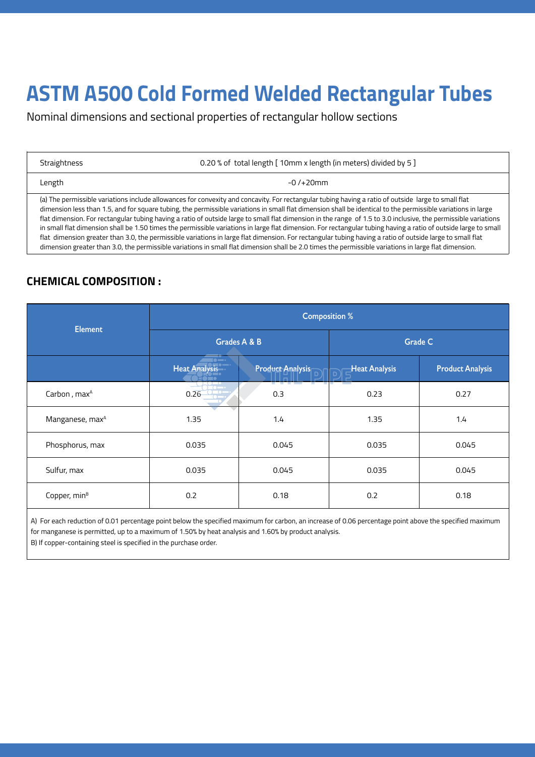Nominal dimensions and sectional properties of rectangular hollow sections

| Straightness |
|--------------|
|--------------|

Length

0.20 % of total length [ 10mm x length (in meters) divided by 5 ]

-0 /+20mm

(a) The permissible variations include allowances for convexity and concavity. For rectangular tubing having a ratio of outside large to small flat dimension less than 1.5, and for square tubing, the permissible variations in small flat dimension shall be identical to the permissible variations in large flat dimension. For rectangular tubing having a ratio of outside large to small flat dimension in the range of 1.5 to 3.0 inclusive, the permissible variations in small flat dimension shall be 1.50 times the permissible variations in large flat dimension. For rectangular tubing having a ratio of outside large to small flat dimension greater than 3.0, the permissible variations in large flat dimension. For rectangular tubing having a ratio of outside large to small flat dimension greater than 3.0, the permissible variations in small flat dimension shall be 2.0 times the permissible variations in large flat dimension.

### **CHEMICAL COMPOSITION :**

| <b>Element</b>              | <b>Composition %</b>                                                |                         |                      |                         |  |  |  |  |  |
|-----------------------------|---------------------------------------------------------------------|-------------------------|----------------------|-------------------------|--|--|--|--|--|
|                             | Grades A & B                                                        |                         | <b>Grade C</b>       |                         |  |  |  |  |  |
|                             | $\blacksquare \bullet \blacksquare \bullet$<br><b>Heat Analysis</b> | <b>Product Analysis</b> | <b>Heat Analysis</b> | <b>Product Analysis</b> |  |  |  |  |  |
| Carbon, max <sup>A</sup>    | $\sim$<br>0.26                                                      | --<br>0.3               | 0.23                 | 0.27                    |  |  |  |  |  |
| Manganese, max <sup>A</sup> | 1.35                                                                | 1.4                     | 1.35                 | 1.4                     |  |  |  |  |  |
| Phosphorus, max             | 0.035                                                               | 0.045                   | 0.035                | 0.045                   |  |  |  |  |  |
| Sulfur, max                 | 0.035                                                               | 0.045                   | 0.035                | 0.045                   |  |  |  |  |  |
| Copper, min <sup>B</sup>    | 0.2                                                                 | 0.18                    | 0.2                  | 0.18                    |  |  |  |  |  |

A) For each reduction of 0.01 percentage point below the specified maximum for carbon, an increase of 0.06 percentage point above the specified maximum for manganese is permitted, up to a maximum of 1.50% by heat analysis and 1.60% by product analysis. B) If copper-containing steel is specified in the purchase order.